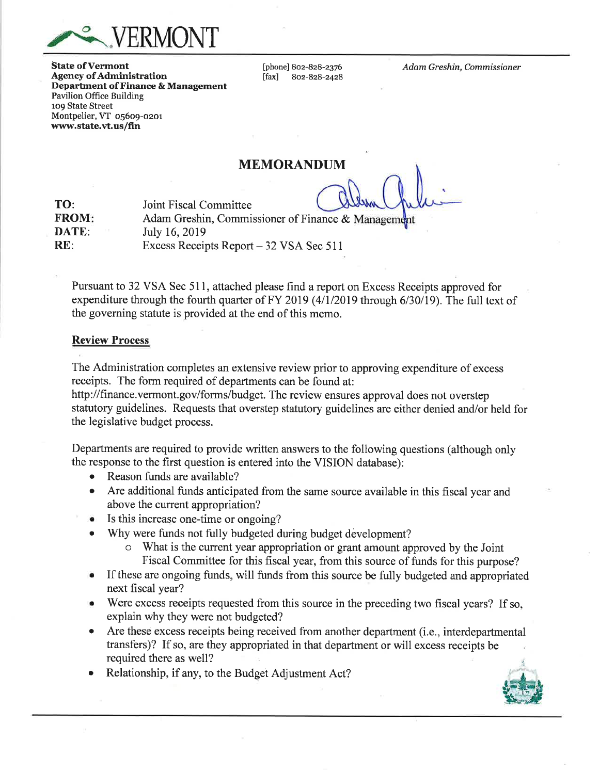

**State of Vermont** Agency of Administration Departrnent of Finance & Management Pavilion Office Building 1o9 State Street Montpelier, VT 05609-0201 www.state.vt.us/fin

[phone] 802-828-2376 lfaxl 802-828-2428 Adam Greshin, Commissioner

# MEMORANDUM

| TO:                 | Joint Fiscal Committee                             |
|---------------------|----------------------------------------------------|
| <b>FROM:</b>        | Adam Greshin, Commissioner of Finance & Management |
| <b>DATE:</b>        | July 16, 2019                                      |
| $\mathbf{RF} \cdot$ | Excess Receipts Report – 32 VSA Sec 511            |

Pursuant to 32 VSA Sec 511, attached please find a report on Excess Receipts approved for expenditure through the fourth quarter of FY 2019 (4/1/2019 through  $6/30/19$ ). The full text of the goveming statute is provided at the end of this memo.

#### Review Process

The Administration completes an extensive review prior to approving expenditure of excess receipts. The form required of departments can be found at:

http://finance.vermont.gov/forms/budget. The review ensures approval does not overstep statutory guidelines. Requests that overstep statutory guidelines are either denied and/or held for the legislative budget process.

Departments are required to provide written answers to the following questions (although only the response to the first question is entered into the VISION database):

- Reason funds are available?
- o Are additional funds anticipated from the same source available in this fiscal year and above the current appropriation?<br>
• Is this increase one-time or ongoing?
- 
- . Why were funds not fully budgeted during budget development?
	- o What is the current year appropriation or grant amount approved by the Joint Fiscal Committee for this fiscal year, from this source of funds for this purpose?
- If these are ongoing funds, will funds from this source be fully budgeted and appropriated next fiscal year?
- o Were excess receipts requested from this source in the preceding two fiscal years? If so, explain why they were not budgeted?
- o Are these excess receipts being received from another department (i.e., interdepartmental transfers)? If so, are they appropriated in that department or will excess receipts be required there as well?
- Relationship, if any, to the Budget Adjustment Act?

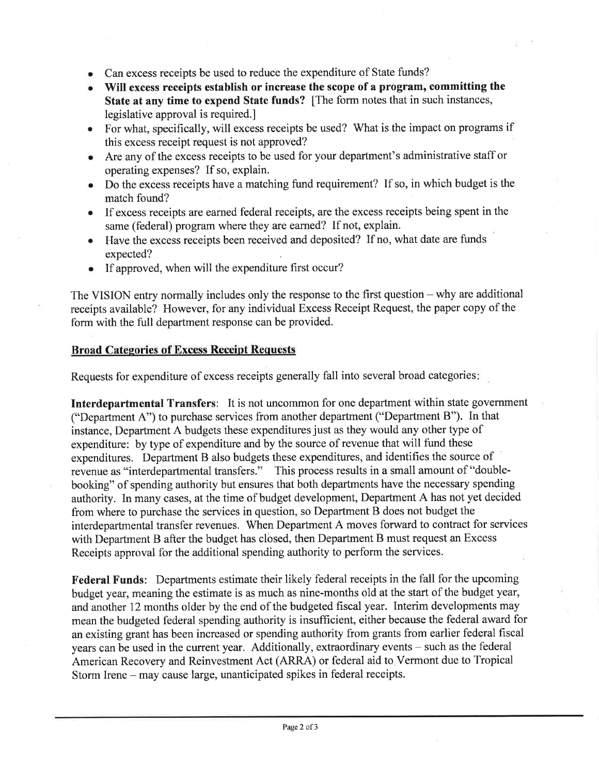- o Can excess receipts be used to reduce the expenditure of State funds?
- o Will excess receipts establish or increase the scope of a program, committing the State at any time to expend State funds? [The form notes that in such instances, legislative approval is required.]
- o For what, specifically, will excess receipts be used? What is the impact on programs if this excess receipt request is not approved?
- o Are any of the excess receipts to be used for your department's administrative staff or operating expenses? If so, explain.
- o Do the excess receipts have a matching fund requirement? If so, in which budget is the match found?
- If excess receipts are earned federal receipts, are the excess receipts being spent in the same (federal) program where they are earned? If not, explain.
- o Have the excess receipts been received and deposited? If no, what date are funds expected?
- o If approved, when will the expenditure first occur?

The VISION entry normally includes only the response to the first question – why are additional receipts available? However, for any individual Excess Receipt Request, the paper copy of the form with the full department response can be provided.

# Broad Categories of Excess Receipt Requests

Requests for expenditure of excess receipts generally fall into several broad categories

Interdepartmental Transfers: It is not uncommon for one department within state government ("Department A") to purchase services from another department ("Department B"). In that instance, Department A budgets these expenditures just as they would any other type of expenditure: by type of expenditure and by the source of revenue that will fund these expenditures. Department B also budgets these expenditures, and identifies the source of revenue as "interdepartmental transfers." This process results in a small amount of "doublebooking" of spending authority but ensures that both departments have the necessary spending authority. In many cases, at the time of budget development, Department A has not yet decided from where to purchase the services in question, so Department B does not budget the interdepartmental transfer revenues. When Department A moves forward to contract for services with Department B after the budget has closed, then Department B must request an Excess Receipts approval for the additional spending authority to perform the services.

Federal Funds: Departments estimate their likely federal receipts in the fall for the upcoming budget year, meaning the estimate is as much as nine-months old at the start of the budget year, and another 12 months older by the end of the budgeted fiscal year. Interim developments may mean the budgeted federal spending authority is insufficient, either because the federal award for an existing grant has been increased or spending authority from grants from earlier federal fiscal years can be used in the current year. Additionally, extraordinary events - such as the federal American Recovery and Reinvestment Act (ARRA) or federal aid to.Vermont due to Tropical Storm Irene – may cause large, unanticipated spikes in federal receipts.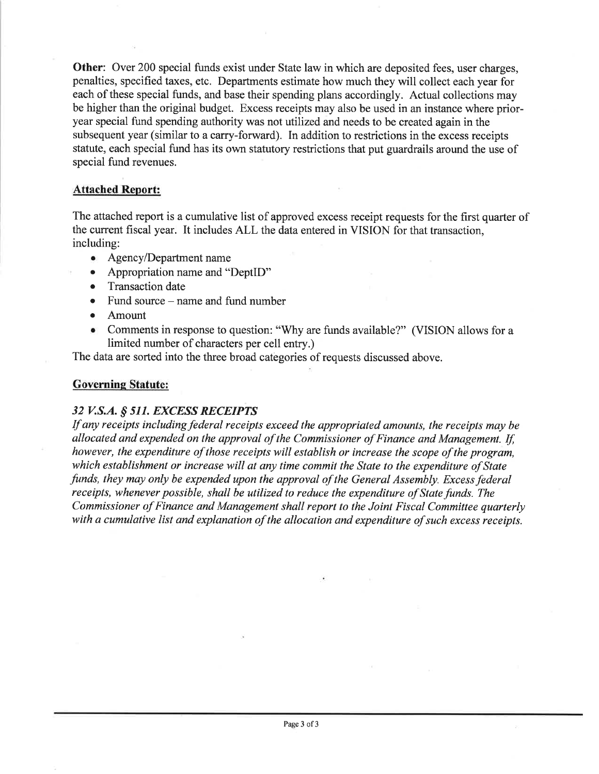Other: Over 200 special funds exist under State law in which are deposited fees, user charges, penalties, specified taxes, etc. Departments estimate how much they will collect each year for each of these special funds, and base their spending plans accordingly. Actual collections may be higher than the original budget. Excess receipts may also be used in an instance where prioryear special fund spending authority was not utilized and needs to be created again in the subsequent year (similar to a carry-forward). In addition to restrictions in the excess receipts statute, each special fund has its own statutory restrictions that put guardrails around the use of special fund revenues.

# Attached Report:

The attached report is a cumulative list of approved excess receipt requests for the first quarter of the current fiscal year. It includes ALL the data entered in VISION for that transaction, including:

- $\bullet$  Agency/Department name
- . Appropriation name and "DeptID"
- Transaction date
- Fund source name and fund number
- **Amount**
- o Comments in response to question: "Why are funds available?" (VISION allows for <sup>a</sup> limited number of characters per cell entry.)

The data are sorted into the three broad categories of requests discussed above.

### **Governing Statute:**

### 32 V.S.A. \$ 511. EXCESS RECETPTS

If any receipts including federal receipts exceed the appropriated amounts, the receipts may be allocated and expended on the approval of the Commissioner of Finance and Management. If, however, the expenditure of those receipts will establish or increase the scope of the program, which establishment or increase will at any time commit the State to the expenditure of State funds, they may only be expended upon the approval of the General Assembly. Excess federal receipts, whenever possible, shall be utilized to reduce the expenditure of State funds. The Commissioner of Finance and Management shall report to the Joint Fiscal Committee quarterly with a cumulative list and explanation of the allocation and expenditure of such excess receipts.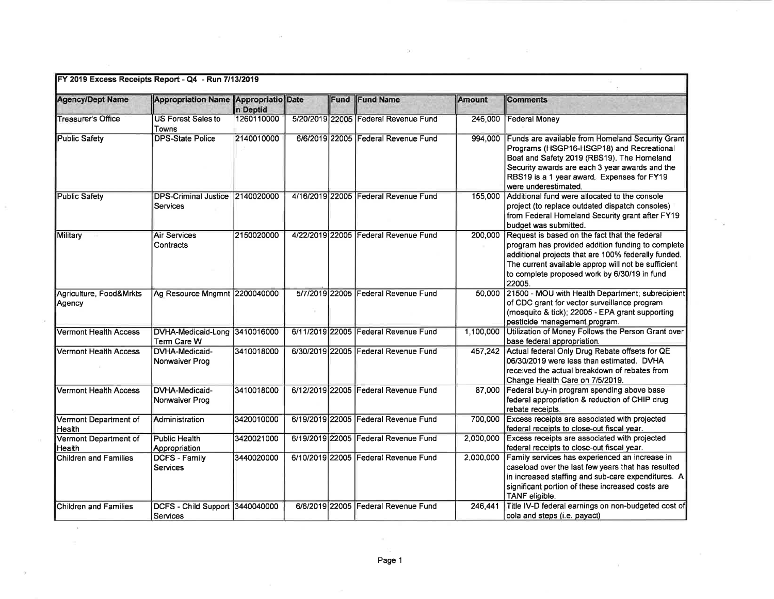| FY 2019 Excess Receipts Report - Q4 - Run 7/13/2019 |                                                    |            |  |      |                                      |           |                                                                                                                                                                                                                                                                            |  |  |
|-----------------------------------------------------|----------------------------------------------------|------------|--|------|--------------------------------------|-----------|----------------------------------------------------------------------------------------------------------------------------------------------------------------------------------------------------------------------------------------------------------------------------|--|--|
| <b>Agency/Dept Name</b>                             | Appropriation Name Appropriatio Date               | n Deptid   |  | Fund | <b>Fund Name</b>                     | Amount    | <b>Comments</b>                                                                                                                                                                                                                                                            |  |  |
| <b>Treasurer's Office</b>                           | <b>US Forest Sales to</b><br>Towns                 | 1260110000 |  |      | 5/20/2019 22005 Federal Revenue Fund | 246,000   | Federal Money                                                                                                                                                                                                                                                              |  |  |
| Public Safety                                       | <b>DPS-State Police</b>                            | 2140010000 |  |      | 6/6/2019 22005 Federal Revenue Fund  | 994.000   | <b>Funds are available from Homeland Security Grant</b><br>Programs (HSGP16-HSGP18) and Recreational<br>Boat and Safety 2019 (RBS19). The Homeland<br>Security awards are each 3 year awards and the<br>RBS19 is a 1 year award. Expenses for FY19<br>were underestimated. |  |  |
| <b>Public Safety</b>                                | DPS-Criminal Justice 2140020000<br>Services        |            |  |      | 4/16/2019 22005 Federal Revenue Fund | 155,000   | Additional fund were allocated to the console<br>project (to replace outdated dispatch consoles)<br>from Federal Homeland Security grant after FY19<br>budget was submitted.                                                                                               |  |  |
| Military                                            | <b>Air Services</b><br>Contracts                   | 2150020000 |  |      | 4/22/2019 22005 Federal Revenue Fund | 200,000   | Request is based on the fact that the federal<br>program has provided addition funding to complete<br>additional projects that are 100% federally funded.<br>The current available approp will not be sufficient<br>to complete proposed work by 6/30/19 in fund<br>22005. |  |  |
| Agriculture, Food&Mrkts<br>Agency                   | Ag Resource Mngmnt 2200040000                      |            |  |      | 5/7/2019 22005 Federal Revenue Fund  |           | 50,000 21500 - MOU with Health Department; subrecipient<br>of CDC grant for vector surveillance program<br>(mosquito & tick); 22005 - EPA grant supporting<br>pesticide management program.                                                                                |  |  |
| <b>Vermont Health Access</b>                        | DVHA-Medicaid-Long 3410016000<br>Term Care W       |            |  |      | 6/11/2019 22005 Federal Revenue Fund | 1,100,000 | Utilization of Money Follows the Person Grant over<br>base federal appropriation.                                                                                                                                                                                          |  |  |
| <b>Vermont Health Access</b>                        | DVHA-Medicaid-<br>Nonwaiver Prog                   | 3410018000 |  |      | 6/30/2019 22005 Federal Revenue Fund |           | 457,242 Actual federal Only Drug Rebate offsets for QE<br>06/30/2019 were less than estimated. DVHA<br>received the actual breakdown of rebates from<br>Change Health Care on 7/5/2019.                                                                                    |  |  |
| <b>Vermont Health Access</b>                        | DVHA-Medicaid-<br>Nonwaiver Prog                   | 3410018000 |  |      | 6/12/2019 22005 Federal Revenue Fund | 87,000    | Federal buy-in program spending above base<br>federal appropriation & reduction of CHIP drug<br>rebate receipts.                                                                                                                                                           |  |  |
| Vermont Department of<br>Health                     | Administration                                     | 3420010000 |  |      | 6/19/2019 22005 Federal Revenue Fund | 700,000   | Excess receipts are associated with projected<br>federal receipts to close-out fiscal year.                                                                                                                                                                                |  |  |
| Vermont Department of<br>Health                     | Public Health<br>Appropriation                     | 3420021000 |  |      | 6/19/2019 22005 Federal Revenue Fund | 2,000,000 | Excess receipts are associated with projected<br>federal receipts to close-out fiscal year.                                                                                                                                                                                |  |  |
| Children and Families                               | <b>DCFS - Family</b><br><b>Services</b>            | 3440020000 |  |      | 6/10/2019 22005 Federal Revenue Fund | 2,000,000 | Family services has experienced an increase in<br>caseload over the last few years that has resulted<br>in increased staffing and sub-care expenditures. A<br>significant portion of these increased costs are<br>TANF eligible.                                           |  |  |
| Children and Families                               | DCFS - Child Support 3440040000<br><b>Services</b> |            |  |      | 6/6/2019 22005 Federal Revenue Fund  | 246,441   | Title IV-D federal earnings on non-budgeted cost of<br>cola and steps (i.e. payact)                                                                                                                                                                                        |  |  |

 $\mathcal{A}$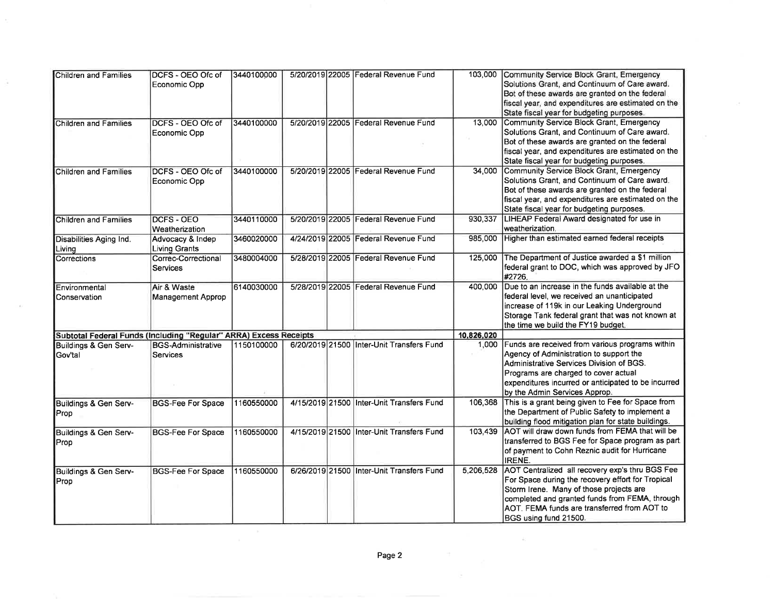| Children and Families                                             | DCFS - OEO Ofc of<br>Economic Opp            | 3440100000 | 5/20/2019 22005 Federal Revenue Fund      |            | 103,000 Community Service Block Grant, Emergency<br>Solutions Grant, and Continuum of Care award.<br>Bot of these awards are granted on the federal                                                                                                                          |
|-------------------------------------------------------------------|----------------------------------------------|------------|-------------------------------------------|------------|------------------------------------------------------------------------------------------------------------------------------------------------------------------------------------------------------------------------------------------------------------------------------|
|                                                                   |                                              |            |                                           |            | fiscal year, and expenditures are estimated on the<br>State fiscal year for budgeting purposes.                                                                                                                                                                              |
| <b>Children and Families</b>                                      | DCFS - OEO Ofc of<br>Economic Opp            | 3440100000 | 5/20/2019 22005 Federal Revenue Fund      | 13.000     | Community Service Block Grant, Emergency<br>Solutions Grant, and Continuum of Care award.<br>Bot of these awards are granted on the federal<br>fiscal year, and expenditures are estimated on the<br>State fiscal year for budgeting purposes.                               |
| Children and Families                                             | DCFS - OEO Ofc of<br>Economic Opp            | 3440100000 | 5/20/2019 22005 Federal Revenue Fund      | 34,000     | Community Service Block Grant, Emergency<br>Solutions Grant, and Continuum of Care award.<br>Bot of these awards are granted on the federal<br>fiscal year, and expenditures are estimated on the<br>State fiscal year for budgeting purposes.                               |
| <b>Children and Families</b>                                      | <b>DCFS - OEO</b><br>Weatherization          | 3440110000 | 5/20/2019 22005 Federal Revenue Fund      |            | 930,337 LIHEAP Federal Award designated for use in<br>weatherization.                                                                                                                                                                                                        |
| Disabilities Aging Ind.<br>Living                                 | Advocacy & Indep<br>Living Grants            | 3460020000 | 4/24/2019 22005 Federal Revenue Fund      |            | 985,000 Higher than estimated earned federal receipts                                                                                                                                                                                                                        |
| Corrections                                                       | Correc-Correctional<br>Services              | 3480004000 | 5/28/2019 22005 Federal Revenue Fund      | 125,000    | The Department of Justice awarded a \$1 million<br>federal grant to DOC, which was approved by JFO<br>#2726.                                                                                                                                                                 |
| Environmental<br>Conservation                                     | Air & Waste<br><b>Management Approp</b>      | 6140030000 | 5/28/2019 22005 Federal Revenue Fund      | 400,000    | Due to an increase in the funds available at the<br>federal level, we received an unanticipated<br>increase of 119k in our Leaking Underground<br>Storage Tank federal grant that was not known at<br>the time we build the FY19 budget.                                     |
| Subtotal Federal Funds (Including "Regular" ARRA) Excess Receipts |                                              |            |                                           | 10,826,020 |                                                                                                                                                                                                                                                                              |
| Buildings & Gen Serv-<br><b>I</b> Gov'tal                         | <b>BGS-Administrative</b><br><b>Services</b> | 1150100000 | 6/20/2019 21500 Inter-Unit Transfers Fund |            | 1,000 Funds are received from various programs within<br>Agency of Administration to support the<br>Administrative Services Division of BGS.<br>Programs are charged to cover actual<br>expenditures incurred or anticipated to be incurred<br>by the Admin Services Approp. |
| Buildings & Gen Serv-<br>Prop                                     | <b>BGS-Fee For Space</b>                     | 1160550000 | 4/15/2019 21500 Inter-Unit Transfers Fund | 106,368    | This is a grant being given to Fee for Space from<br>the Department of Public Safety to implement a<br>building flood mitigation plan for state buildings.                                                                                                                   |
| Buildings & Gen Serv-<br>Prop                                     | <b>BGS-Fee For Space</b>                     | 1160550000 | 4/15/2019 21500 Inter-Unit Transfers Fund | 103,439    | AOT will draw down funds from FEMA that will be<br>transferred to BGS Fee for Space program as part<br>of payment to Cohn Reznic audit for Hurricane<br><b>IRENE.</b>                                                                                                        |
| Buildings & Gen Serv-<br><b>Prop</b>                              | <b>BGS-Fee For Space</b>                     | 1160550000 | 6/26/2019 21500 Inter-Unit Transfers Fund | 5,206,528  | AOT Centralized all recovery exp's thru BGS Fee<br>For Space during the recovery effort for Tropical<br>Storm Irene. Many of those projects are<br>completed and granted funds from FEMA, through<br>AOT. FEMA funds are transferred from AOT to<br>BGS using fund 21500.    |

 $\gamma$ 

- 4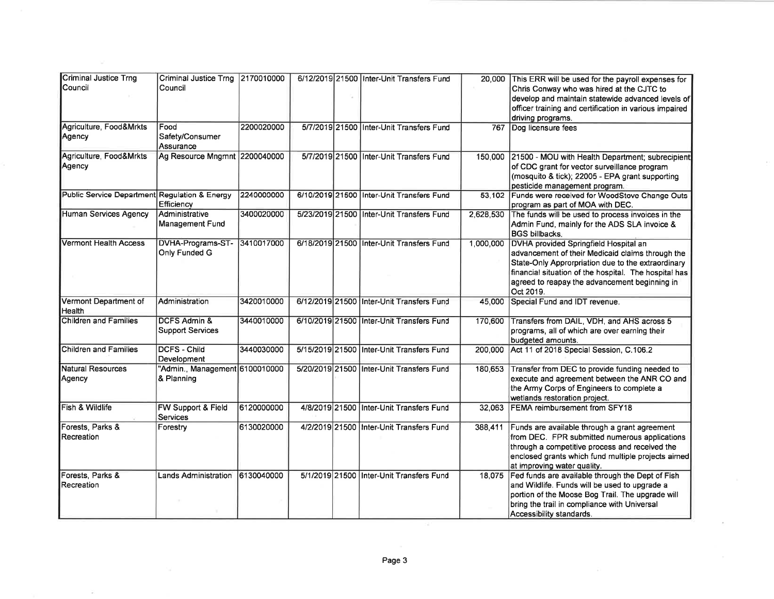| Criminal Justice Trng<br><b>I</b> Council     | Criminal Justice Trng<br>Council                 | 2170010000 |  | 6/12/2019 21500 Inter-Unit Transfers Fund |           | 20,000 This ERR will be used for the payroll expenses for<br>Chris Conway who was hired at the CJTC to<br>develop and maintain statewide advanced levels of<br>officer training and certification in various impaired<br>driving programs.                             |
|-----------------------------------------------|--------------------------------------------------|------------|--|-------------------------------------------|-----------|------------------------------------------------------------------------------------------------------------------------------------------------------------------------------------------------------------------------------------------------------------------------|
| Agriculture, Food&Mrkts<br>Agency             | Food<br>Safety/Consumer<br>Assurance             | 2200020000 |  | 5/7/2019 21500 Inter-Unit Transfers Fund  |           | 767  Dog licensure fees                                                                                                                                                                                                                                                |
| Agriculture, Food&Mrkts<br>Agency             | Ag Resource Mngmnt 2200040000                    |            |  | 5/7/2019 21500 Inter-Unit Transfers Fund  |           | 150,000 21500 - MOU with Health Department; subrecipient<br>of CDC grant for vector surveillance program<br>(mosquito & tick); 22005 - EPA grant supporting<br>pesticide management program.                                                                           |
| Public Service Department Regulation & Energy | Efficiency                                       | 2240000000 |  | 6/10/2019 21500 Inter-Unit Transfers Fund |           | 53,102 Funds were received for WoodStove Change Outs<br>program as part of MOA with DEC.                                                                                                                                                                               |
| Human Services Agency                         | Administrative<br>Management Fund                | 3400020000 |  | 5/23/2019 21500 Inter-Unit Transfers Fund | 2,628,530 | The funds will be used to process invoices in the<br>Admin Fund, mainly for the ADS SLA invoice &<br><b>BGS billbacks.</b>                                                                                                                                             |
| Vermont Health Access                         | DVHA-Programs-ST- 3410017000<br>Only Funded G    |            |  | 6/18/2019 21500 Inter-Unit Transfers Fund | 1,000,000 | DVHA provided Springfield Hospital an<br>advancement of their Medicaid claims through the<br>State-Only Approrpriation due to the extraordinary<br>financial situation of the hospital. The hospital has<br>agreed to reapay the advancement beginning in<br>Oct 2019. |
| Vermont Department of<br>Health               | Administration                                   | 3420010000 |  | 6/12/2019 21500 Inter-Unit Transfers Fund | 45.000    | Special Fund and IDT revenue.                                                                                                                                                                                                                                          |
| Children and Families                         | <b>DCFS Admin &amp;</b><br>Support Services      | 3440010000 |  | 6/10/2019 21500 Inter-Unit Transfers Fund | 170,600   | Transfers from DAIL, VDH, and AHS across 5<br>programs, all of which are over earning their<br>budgeted amounts.                                                                                                                                                       |
| Children and Families                         | <b>DCFS - Child</b><br><b>Development</b>        | 3440030000 |  | 5/15/2019 21500 Inter-Unit Transfers Fund |           | 200,000 Act 11 of 2018 Special Session, C.106.2                                                                                                                                                                                                                        |
| Natural Resources<br>Agency                   | "Admin., Management 6100010000<br>& Planning     |            |  | 5/20/2019 21500 Inter-Unit Transfers Fund |           | 180,653 Transfer from DEC to provide funding needed to<br>execute and agreement between the ANR CO and<br>the Army Corps of Engineers to complete a<br>wetlands restoration project.                                                                                   |
| Fish & Wildlife                               | <b>FW Support &amp; Field</b><br><b>Services</b> | 6120000000 |  | 4/8/2019 21500 Inter-Unit Transfers Fund  | 32,063    | <b>IFEMA</b> reimbursement from SFY18                                                                                                                                                                                                                                  |
| Forests, Parks &<br>Recreation                | Forestry                                         | 6130020000 |  | 4/2/2019 21500 Inter-Unit Transfers Fund  | 388,411   | Funds are available through a grant agreement<br>from DEC. FPR submitted numerous applications<br>through a competitive process and received the<br>enclosed grants which fund multiple projects aimed<br>at improving water quality.                                  |
| Forests, Parks &<br>Recreation                | <b>Lands Administration</b>                      | 6130040000 |  | 5/1/2019 21500 Inter-Unit Transfers Fund  |           | 18,075 Fed funds are available through the Dept of Fish<br>and Wildlife. Funds will be used to upgrade a<br>portion of the Moose Bog Trail. The upgrade will<br>bring the trail in compliance with Universal<br>Accessibility standards.                               |

 $\mathcal{L}$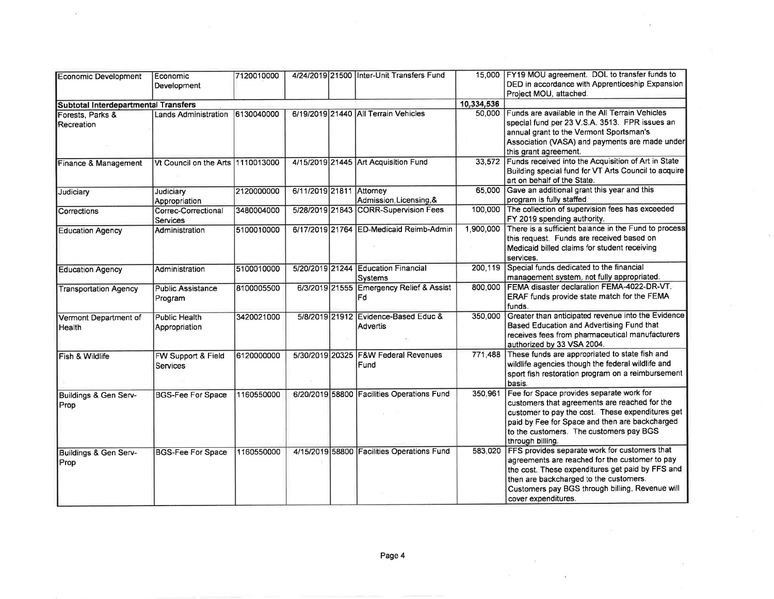| Economic Development                 | Economic                          | 7120010000 |                          | 4/24/2019 21500 Inter-Unit Transfers Fund    |            | 15,000 FY19 MOU agreement. DOL to transfer funds to                                                      |
|--------------------------------------|-----------------------------------|------------|--------------------------|----------------------------------------------|------------|----------------------------------------------------------------------------------------------------------|
|                                      | Development                       |            |                          |                                              |            | DED in accordance with Apprenticeship Expansion                                                          |
|                                      |                                   |            |                          |                                              |            | Project MOU, attached.                                                                                   |
| Subtotal Interdepartmental Transfers |                                   |            |                          |                                              | 10,334,536 |                                                                                                          |
| Forests, Parks &                     | Lands Administration              | 6130040000 |                          | 6/19/2019 21440 All Terrain Vehicles         |            | 50,000 Funds are available in the All Terrain Vehicles<br>special fund per 23 V.S.A. 3513. FPR issues an |
| Recreation                           |                                   |            |                          |                                              |            | annual grant to the Vermont Sportsman's                                                                  |
|                                      |                                   |            |                          |                                              |            | Association (VASA) and payments are made under                                                           |
|                                      |                                   |            |                          |                                              |            | this grant agreement.                                                                                    |
|                                      | Vt Council on the Arts 1110013000 |            |                          | 4/15/2019 21445 Art Acquisition Fund         |            | 33,572 Funds received into the Acquisition of Art in State                                               |
| Finance & Management                 |                                   |            |                          |                                              |            | Building special fund for VT Arts Council to acquire                                                     |
|                                      |                                   |            |                          |                                              |            | art on behalf of the State.                                                                              |
| Judiciary                            | Judiciary                         | 2120000000 | 6/11/2019 21811 Attorney |                                              | 65,000     | Gave an additional grant this year and this                                                              |
|                                      | Appropriation                     |            |                          | Admission, Licensing, &                      |            | program is fully staffed.                                                                                |
| Corrections                          | Correc-Correctional               | 3480004000 |                          | 5/28/2019 21843 CORR-Supervision Fees        | 100,000    | The collection of supervision fees has exceeded                                                          |
|                                      | <b>Services</b>                   |            |                          |                                              |            | FY 2019 spending authority.                                                                              |
| <b>Education Agency</b>              | Administration                    | 5100010000 |                          | 6/17/2019 21764 ED-Medicaid Reimb-Admin      | 1,900,000  | There is a sufficient balance in the Fund to process                                                     |
|                                      |                                   |            |                          |                                              |            | this request. Funds are received based on                                                                |
|                                      |                                   |            |                          |                                              |            | Medicaid billed claims for student receiving                                                             |
|                                      |                                   |            |                          |                                              |            | services.                                                                                                |
| <b>Education Agency</b>              | Administration                    | 5100010000 |                          | 5/20/2019 21244 Education Financial          | 200,119    | Special funds dedicated to the financial                                                                 |
|                                      |                                   |            |                          | <b>Systems</b>                               |            | management system, not fully appropriated.                                                               |
| <b>Transportation Agency</b>         | <b>Public Assistance</b>          | 8100005500 |                          | 6/3/2019 21555 Emergency Relief & Assist     | 800,000    | FEMA disaster declaration FEMA-4022-DR-VT.                                                               |
|                                      | Program                           |            |                          | Fd                                           |            | ERAF funds provide state match for the FEMA                                                              |
|                                      |                                   |            |                          |                                              |            | funds.                                                                                                   |
| Vermont Department of                | Public Health                     | 3420021000 |                          | 5/8/2019 21912 Evidence-Based Educ &         | 350,000    | Greater than anticipated revenue into the Evidence                                                       |
| <b>I</b> Health                      | Appropriation                     |            |                          | Advertis                                     |            | Based Education and Advertising Fund that                                                                |
|                                      |                                   |            |                          |                                              |            | receives fees from pharmaceutical manufacturers                                                          |
|                                      |                                   |            |                          |                                              | 771,488    | authorized by 33 VSA 2004.<br>These funds are appropriated to state fish and                             |
| <b>Fish &amp; Wildlife</b>           | FW Support & Field                | 6120000000 |                          | 5/30/2019 20325 F&W Federal Revenues<br>Fund |            | wildlife agencies though the federal wildlife and                                                        |
|                                      | Services                          |            |                          |                                              |            | sport fish restoration program on a reimbursement                                                        |
|                                      |                                   |            |                          |                                              |            | basis.                                                                                                   |
| Buildings & Gen Serv-                | <b>BGS-Fee For Space</b>          | 1160550000 |                          | 6/20/2019 58800 Facilities Operations Fund   | 350,961    | Fee for Space provides separate work for                                                                 |
| Prop                                 |                                   |            |                          |                                              |            | customers that agreements are reached for the                                                            |
|                                      |                                   |            |                          |                                              |            | customer to pay the cost. These expenditures get                                                         |
|                                      |                                   |            |                          |                                              |            | paid by Fee for Space and then are backcharged                                                           |
|                                      |                                   |            |                          |                                              |            | to the customers. The customers pay BGS                                                                  |
|                                      |                                   |            |                          |                                              |            | through billing.                                                                                         |
| Buildings & Gen Serv-                | <b>BGS-Fee For Space</b>          | 1160550000 |                          | 4/15/2019 58800 Facilities Operations Fund   | 583.020    | FFS provides separate work for customers that                                                            |
| Prop                                 |                                   |            |                          |                                              |            | agreements are reached for the customer to pay                                                           |
|                                      |                                   |            |                          |                                              |            | the cost. These expenditures get paid by FFS and                                                         |
|                                      |                                   |            |                          |                                              |            | then are backcharged to the customers.                                                                   |
|                                      |                                   |            |                          |                                              |            | Customers pay BGS through billing. Revenue will                                                          |
|                                      |                                   |            |                          |                                              |            | cover expenditures.                                                                                      |

 $\mathcal{C}$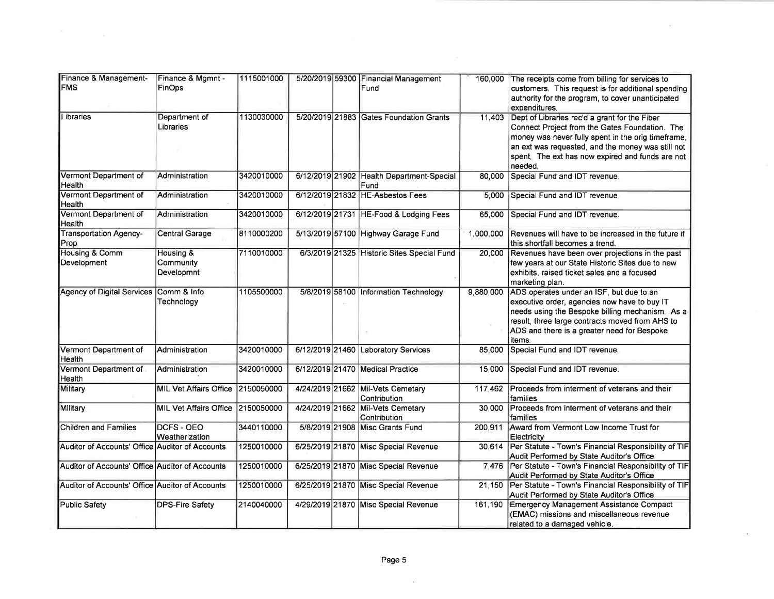| Finance & Management-                           | Finance & Mgmnt -                 | 1115001000 |  | 5/20/2019 59300 Financial Management              |           | 160,000 The receipts come from billing for services to            |
|-------------------------------------------------|-----------------------------------|------------|--|---------------------------------------------------|-----------|-------------------------------------------------------------------|
| IFMS                                            | FinOps                            |            |  | Fund                                              |           | customers. This request is for additional spending                |
|                                                 |                                   |            |  |                                                   |           | authority for the program, to cover unanticipated                 |
|                                                 |                                   |            |  |                                                   |           | expenditures.                                                     |
| Libraries                                       | Department of                     | 1130030000 |  | 5/20/2019 21883 Gates Foundation Grants           | 11,403    | Dept of Libraries rec'd a grant for the Fiber                     |
|                                                 | Libraries                         |            |  |                                                   |           | Connect Project from the Gates Foundation. The                    |
|                                                 |                                   |            |  |                                                   |           | money was never fully spent in the orig timeframe,                |
|                                                 |                                   |            |  |                                                   |           | an ext was requested, and the money was still not                 |
|                                                 |                                   |            |  |                                                   |           | spent. The ext has now expired and funds are not                  |
|                                                 |                                   |            |  |                                                   |           | needed.                                                           |
| Vermont Department of                           | Administration                    | 3420010000 |  | 6/12/2019 21902 Health Department-Special         | 80,000    | Special Fund and IDT revenue,                                     |
| Health                                          |                                   |            |  | Fund                                              |           |                                                                   |
| Vermont Department of                           | Administration                    | 3420010000 |  | 6/12/2019 21832 HE-Asbestos Fees                  |           | 5,000 Special Fund and IDT revenue.                               |
| <b>Health</b>                                   |                                   |            |  |                                                   |           |                                                                   |
| Vermont Department of<br>Health                 | Administration                    | 3420010000 |  | 6/12/2019 21731 HE-Food & Lodging Fees            | 65,000    | Special Fund and IDT revenue.                                     |
| <b>Transportation Agency-</b>                   | <b>Central Garage</b>             | 8110000200 |  | 5/13/2019 57100 Highway Garage Fund               | 1,000,000 | Revenues will have to be increased in the future if               |
| Prop                                            |                                   |            |  |                                                   |           | this shortfall becomes a trend.                                   |
| Housing & Comm                                  | Housing &                         | 7110010000 |  | 6/3/2019 21325 Historic Sites Special Fund        | 20,000    | Revenues have been over projections in the past                   |
| Development                                     | Community                         |            |  |                                                   |           | few years at our State Historic Sites due to new                  |
|                                                 | Developmnt                        |            |  |                                                   |           | exhibits, raised ticket sales and a focused                       |
|                                                 |                                   |            |  |                                                   |           | marketing plan.                                                   |
| Agency of Digital Services Comm & Info          |                                   | 1105500000 |  | 5/8/2019 58100 Information Technology             | 9,880,000 | ADS operates under an ISF, but due to an                          |
|                                                 | Technoloav                        |            |  |                                                   |           | executive order, agencies now have to buy IT                      |
|                                                 |                                   |            |  |                                                   |           | needs using the Bespoke billing mechanism. As a                   |
|                                                 |                                   |            |  |                                                   |           | result, three large contracts moved from AHS to                   |
|                                                 |                                   |            |  |                                                   |           | ADS and there is a greater need for Bespoke                       |
|                                                 |                                   |            |  |                                                   |           | items.                                                            |
| Vermont Department of                           | Administration                    | 3420010000 |  | 6/12/2019 21460 Laboratory Services               | 85,000    | Special Fund and IDT revenue.                                     |
| Health                                          |                                   |            |  |                                                   |           |                                                                   |
| Vermont Department of                           | Administration                    | 3420010000 |  | 6/12/2019 21470 Medical Practice                  |           | 15,000 Special Fund and IDT revenue.                              |
| Health                                          |                                   |            |  |                                                   |           |                                                                   |
| Military                                        | MIL Vet Affairs Office 2150050000 |            |  | 4/24/2019 21662 Mil-Vets Cemetary                 |           | 117,462 Proceeds from interment of veterans and their<br>families |
|                                                 | MIL Vet Affairs Office 2150050000 |            |  | Contribution<br>4/24/2019 21662 Mil-Vets Cemetary | 30.000    | Proceeds from interment of veterans and their                     |
| Military                                        |                                   |            |  | Contribution                                      |           | families                                                          |
| Children and Families                           | <b>DCFS - OEO</b>                 | 3440110000 |  | 5/8/2019 21908 Misc Grants Fund                   | 200.911   | Award from Vermont Low Income Trust for                           |
|                                                 | Weatherization                    |            |  |                                                   |           | Electricity                                                       |
| Auditor of Accounts' Office Auditor of Accounts |                                   | 1250010000 |  | 6/25/2019 21870 Misc Special Revenue              |           | 30,614   Per Statute - Town's Financial Responsibility of TIF     |
|                                                 |                                   |            |  |                                                   |           | Audit Performed by State Auditor's Office                         |
| Auditor of Accounts' Office Auditor of Accounts |                                   | 1250010000 |  | 6/25/2019 21870 Misc Special Revenue              |           | 7,476 Per Statute - Town's Financial Responsibility of TIF        |
|                                                 |                                   |            |  |                                                   |           | Audit Performed by State Auditor's Office                         |
| Auditor of Accounts' Office Auditor of Accounts |                                   | 1250010000 |  | 6/25/2019 21870 Misc Special Revenue              |           | 21,150 Per Statute - Town's Financial Responsibility of TIF       |
|                                                 |                                   |            |  |                                                   |           | Audit Performed by State Auditor's Office                         |
| Public Safety                                   | <b>DPS-Fire Safety</b>            | 2140040000 |  | 4/29/2019 21870 Misc Special Revenue              | 161,190   | Emergency Management Assistance Compact                           |
|                                                 |                                   |            |  |                                                   |           | (EMAC) missions and miscellaneous revenue                         |
|                                                 |                                   |            |  |                                                   |           | related to a damaged vehicle.                                     |

 $\alpha$ 

 $\sim$   $\sim$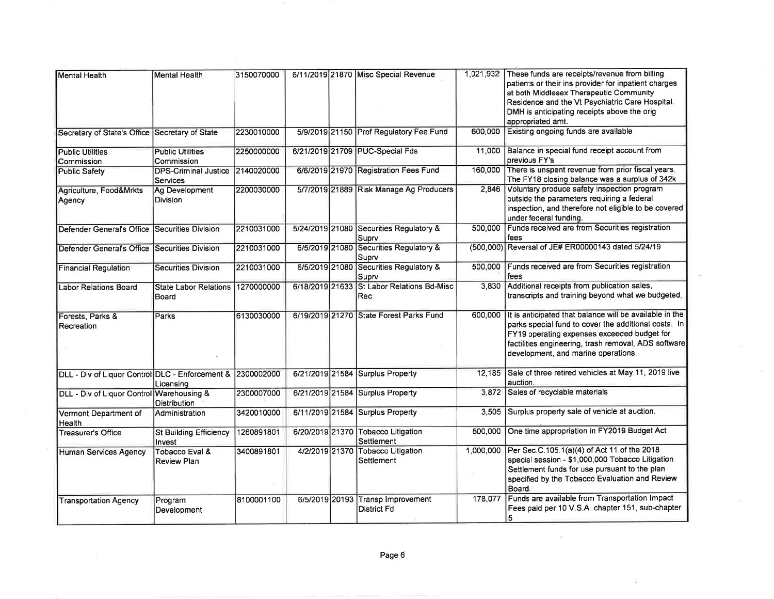| Mental Health                                   | <b>Mental Health</b>                               | 3150070000 |                | 6/11/2019 21870 Misc Special Revenue              |           | 1,021,932 These funds are receipts/revenue from billing<br>patients or their ins provider for inpatient charges<br>at both Middlesex Therapeutic Community<br>Residence and the Vt Psychiatric Care Hospital.<br>DMH is anticipating receipts above the orig<br>appropriated amt. |
|-------------------------------------------------|----------------------------------------------------|------------|----------------|---------------------------------------------------|-----------|-----------------------------------------------------------------------------------------------------------------------------------------------------------------------------------------------------------------------------------------------------------------------------------|
| Secretary of State's Office Secretary of State  |                                                    | 2230010000 |                | 5/9/2019 21150 Prof Regulatory Fee Fund           | 600.000   | Existing ongoing funds are available                                                                                                                                                                                                                                              |
| <b>Public Utilities</b><br>Commission           | <b>Public Utilities</b><br>Commission              | 2250000000 |                | 6/21/2019 21709 PUC-Special Fds                   |           | 11,000 Balance in special fund receipt account from<br>previous FY's                                                                                                                                                                                                              |
| <b>Public Safety</b>                            | DPS-Criminal Justice 2140020000<br><b>Services</b> |            |                | 6/6/2019 21970 Registration Fees Fund             | 160,000   | There is unspent revenue from prior fiscal years.<br>The FY18 closing balance was a surplus of 342k                                                                                                                                                                               |
| Agriculture, Food&Mrkts<br>Agency               | Ag Development<br><b>Division</b>                  | 2200030000 |                | 5/7/2019 21889 Risk Manage Ag Producers           |           | 2,846 Voluntary produce safety inspection program<br>outside the parameters requiring a federal<br>inspection, and therefore not eligible to be covered<br>under federal funding.                                                                                                 |
| Defender General's Office   Securities Division |                                                    | 2210031000 |                | 5/24/2019 21080 Securities Regulatory &<br>Suprv  | 500,000   | Funds received are from Securities registration<br>fees                                                                                                                                                                                                                           |
| Defender General's Office Securities Division   |                                                    | 2210031000 |                | 6/5/2019 21080 Securities Regulatory &<br>Suprv   |           | (500,000) Reversal of JE# ER00000143 dated 5/24/19                                                                                                                                                                                                                                |
| <b>Financial Regulation</b>                     | <b>Securities Division</b>                         | 2210031000 |                | 6/5/2019 21080 Securities Regulatory &<br>Suprv   | 500,000   | Funds received are from Securities registration<br>fees                                                                                                                                                                                                                           |
| Labor Relations Board                           | <b>State Labor Relations</b><br>Board              | 1270000000 |                | 6/18/2019 21633 St Labor Relations Bd-Misc<br>Rec |           | 3,830 Additional receipts from publication sales,<br>transcripts and training beyond what we budgeted.                                                                                                                                                                            |
| Forests, Parks &<br>Recreation                  | Parks                                              | 6130030000 |                | 6/19/2019 21270 State Forest Parks Fund           | 600.000   | It is anticipated that balance will be available in the<br>parks special fund to cover the additional costs. In<br>FY19 operating expenses exceeded budget for<br>factilities engineering, trash removal, ADS software<br>development, and marine operations.                     |
| DLL - Div of Liquor Control DLC - Enforcement & | Licensing                                          | 2300002000 |                | 6/21/2019 21584 Surplus Property                  | 12.185    | Sale of three retired vehicles at May 11, 2019 live<br>auction.                                                                                                                                                                                                                   |
| DLL - Div of Liquor Control Warehousing &       | <b>Distribution</b>                                | 2300007000 |                | 6/21/2019 21584 Surplus Property                  |           | 3,872 Sales of recyclable materials                                                                                                                                                                                                                                               |
| Vermont Department of<br><b>Health</b>          | <b>Administration</b>                              | 3420010000 |                | 6/11/2019 21584 Surplus Property                  | 3.505     | Surplus property sale of vehicle at auction.                                                                                                                                                                                                                                      |
| <b>Treasurer's Office</b>                       | <b>St Building Efficiency</b><br>Invest            | 1260891801 |                | 6/20/2019 21370 Tobacco Litigation<br>Settlement  | 500,000   | One time appropriation in FY2019 Budget Act                                                                                                                                                                                                                                       |
| Human Services Agency                           | Tobacco Eval &<br>Review Plan                      | 3400891801 | 4/2/2019 21370 | <b>Tobacco Litigation</b><br>Settlement           | 1,000,000 | Per Sec. C. 105.1(a)(4) of Act 11 of the 2018<br>special session - \$1,000,000 Tobacco Litigation<br>Settlement funds for use pursuant to the plan<br>specified by the Tobacco Evaluation and Review<br>Board.                                                                    |
| <b>Transportation Agency</b>                    | Program<br>Development                             | 8100001100 |                | 6/5/2019 20193 Transp Improvement<br>District Fd  | 178,077   | Funds are available from Transportation Impact<br>Fees paid per 10 V.S.A. chapter 151, sub-chapter<br>5                                                                                                                                                                           |